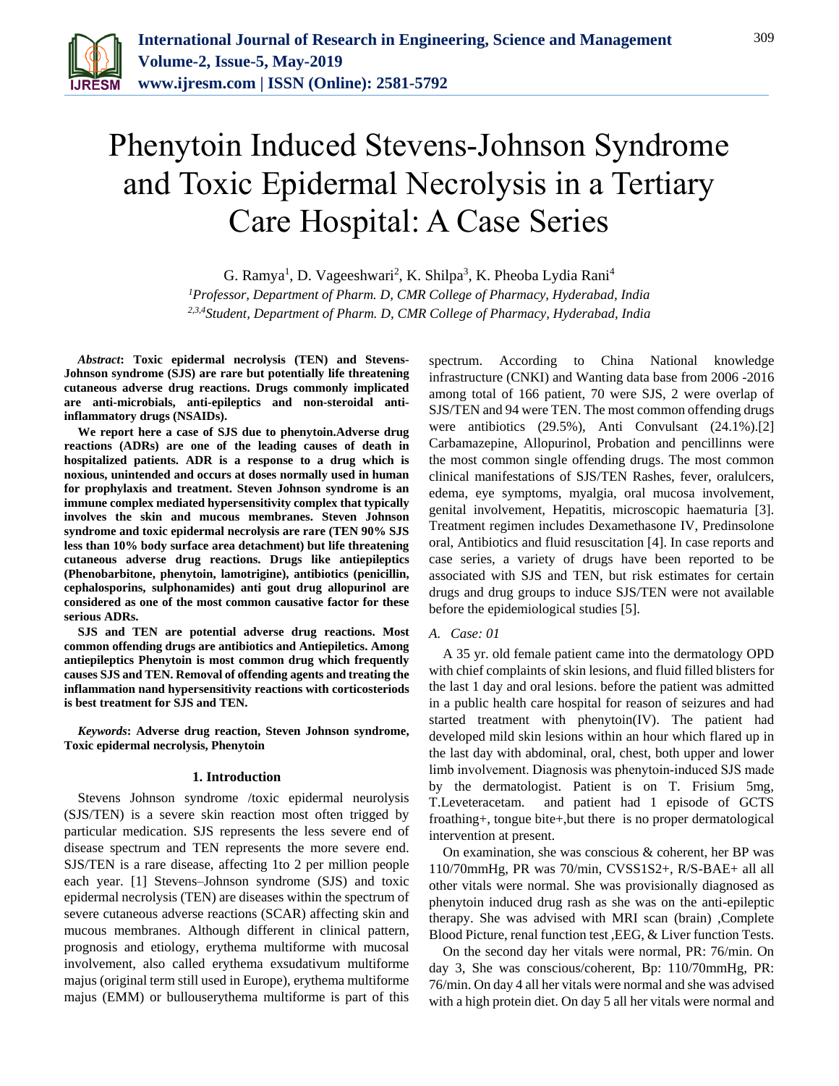

# Phenytoin Induced Stevens-Johnson Syndrome and Toxic Epidermal Necrolysis in a Tertiary Care Hospital: A Case Series

G. Ramya<sup>1</sup>, D. Vageeshwari<sup>2</sup>, K. Shilpa<sup>3</sup>, K. Pheoba Lydia Rani<sup>4</sup> *<sup>1</sup>Professor, Department of Pharm. D, CMR College of Pharmacy, Hyderabad, India 2,3,4Student, Department of Pharm. D, CMR College of Pharmacy, Hyderabad, India*

*Abstract***: Toxic epidermal necrolysis (TEN) and Stevens-Johnson syndrome (SJS) are rare but potentially life threatening cutaneous adverse drug reactions. Drugs commonly implicated are anti-microbials, anti-epileptics and non-steroidal antiinflammatory drugs (NSAIDs).**

**We report here a case of SJS due to phenytoin.Adverse drug reactions (ADRs) are one of the leading causes of death in hospitalized patients. ADR is a response to a drug which is noxious, unintended and occurs at doses normally used in human for prophylaxis and treatment. Steven Johnson syndrome is an immune complex mediated hypersensitivity complex that typically involves the skin and mucous membranes. Steven Johnson syndrome and toxic epidermal necrolysis are rare (TEN 90% SJS less than 10% body surface area detachment) but life threatening cutaneous adverse drug reactions. Drugs like antiepileptics (Phenobarbitone, phenytoin, lamotrigine), antibiotics (penicillin, cephalosporins, sulphonamides) anti gout drug allopurinol are considered as one of the most common causative factor for these serious ADRs.**

**SJS and TEN are potential adverse drug reactions. Most common offending drugs are antibiotics and Antiepiletics. Among antiepileptics Phenytoin is most common drug which frequently causes SJS and TEN. Removal of offending agents and treating the inflammation nand hypersensitivity reactions with corticosteriods is best treatment for SJS and TEN.**

*Keywords***: Adverse drug reaction, Steven Johnson syndrome, Toxic epidermal necrolysis, Phenytoin**

#### **1. Introduction**

Stevens Johnson syndrome /toxic epidermal neurolysis (SJS/TEN) is a severe skin reaction most often trigged by particular medication. SJS represents the less severe end of disease spectrum and TEN represents the more severe end. SJS/TEN is a rare disease, affecting 1to 2 per million people each year. [1] Stevens–Johnson syndrome (SJS) and toxic epidermal necrolysis (TEN) are diseases within the spectrum of severe cutaneous adverse reactions (SCAR) affecting skin and mucous membranes. Although different in clinical pattern, prognosis and etiology, erythema multiforme with mucosal involvement, also called erythema exsudativum multiforme majus (original term still used in Europe), erythema multiforme majus (EMM) or bullouserythema multiforme is part of this

spectrum. According to China National knowledge infrastructure (CNKI) and Wanting data base from 2006 -2016 among total of 166 patient, 70 were SJS, 2 were overlap of SJS/TEN and 94 were TEN. The most common offending drugs were antibiotics (29.5%), Anti Convulsant (24.1%).[2] Carbamazepine, Allopurinol, Probation and pencillinns were the most common single offending drugs. The most common clinical manifestations of SJS/TEN Rashes, fever, oralulcers, edema, eye symptoms, myalgia, oral mucosa involvement, genital involvement, Hepatitis, microscopic haematuria [3]. Treatment regimen includes Dexamethasone IV, Predinsolone oral, Antibiotics and fluid resuscitation [4]. In case reports and case series, a variety of drugs have been reported to be associated with SJS and TEN, but risk estimates for certain drugs and drug groups to induce SJS/TEN were not available before the epidemiological studies [5].

### *A. Case: 01*

A 35 yr. old female patient came into the dermatology OPD with chief complaints of skin lesions, and fluid filled blisters for the last 1 day and oral lesions. before the patient was admitted in a public health care hospital for reason of seizures and had started treatment with phenytoin(IV). The patient had developed mild skin lesions within an hour which flared up in the last day with abdominal, oral, chest, both upper and lower limb involvement. Diagnosis was phenytoin‑induced SJS made by the dermatologist. Patient is on T. Frisium 5mg, T.Leveteracetam. and patient had 1 episode of GCTS froathing+, tongue bite+,but there is no proper dermatological intervention at present.

On examination, she was conscious & coherent, her BP was 110/70mmHg, PR was 70/min, CVSS1S2+, R/S-BAE+ all all other vitals were normal. She was provisionally diagnosed as phenytoin induced drug rash as she was on the anti-epileptic therapy. She was advised with MRI scan (brain) ,Complete Blood Picture, renal function test ,EEG, & Liver function Tests.

On the second day her vitals were normal, PR: 76/min. On day 3, She was conscious/coherent, Bp: 110/70mmHg, PR: 76/min. On day 4 all her vitals were normal and she was advised with a high protein diet. On day 5 all her vitals were normal and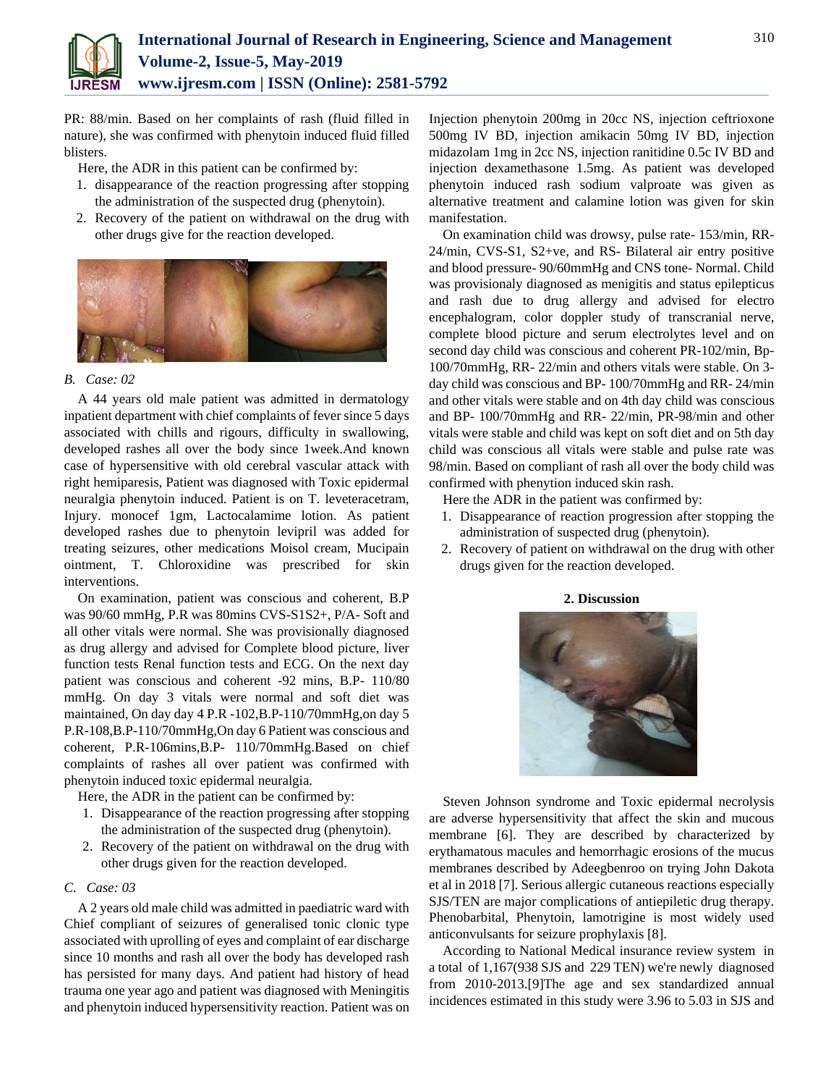

PR: 88/min. Based on her complaints of rash (fluid filled in nature), she was confirmed with phenytoin induced fluid filled blisters.

Here, the ADR in this patient can be confirmed by:

- 1. disappearance of the reaction progressing after stopping the administration of the suspected drug (phenytoin).
- 2. Recovery of the patient on withdrawal on the drug with other drugs give for the reaction developed.



### *B. Case: 02*

A 44 years old male patient was admitted in dermatology inpatient department with chief complaints of fever since 5 days associated with chills and rigours, difficulty in swallowing, developed rashes all over the body since 1week.And known case of hypersensitive with old cerebral vascular attack with right hemiparesis, Patient was diagnosed with Toxic epidermal neuralgia phenytoin induced. Patient is on T. leveteracetram, Injury. monocef 1gm, Lactocalamime lotion. As patient developed rashes due to phenytoin levipril was added for treating seizures, other medications Moisol cream, Mucipain ointment, T. Chloroxidine was prescribed for skin interventions.

On examination, patient was conscious and coherent, B.P was 90/60 mmHg, P.R was 80mins CVS-S1S2+, P/A- Soft and all other vitals were normal. She was provisionally diagnosed as drug allergy and advised for Complete blood picture, liver function tests Renal function tests and ECG. On the next day patient was conscious and coherent -92 mins, B.P- 110/80 mmHg. On day 3 vitals were normal and soft diet was maintained, On day day 4 P.R -102,B.P-110/70mmHg,on day 5 P.R-108,B.P-110/70mmHg,On day 6 Patient was conscious and coherent, P.R-106mins,B.P- 110/70mmHg.Based on chief complaints of rashes all over patient was confirmed with phenytoin induced toxic epidermal neuralgia.

Here, the ADR in the patient can be confirmed by:

- 1. Disappearance of the reaction progressing after stopping the administration of the suspected drug (phenytoin).
- 2. Recovery of the patient on withdrawal on the drug with other drugs given for the reaction developed.

## *C. Case: 03*

A 2 years old male child was admitted in paediatric ward with Chief compliant of seizures of generalised tonic clonic type associated with uprolling of eyes and complaint of ear discharge since 10 months and rash all over the body has developed rash has persisted for many days. And patient had history of head trauma one year ago and patient was diagnosed with Meningitis and phenytoin induced hypersensitivity reaction. Patient was on Injection phenytoin 200mg in 20cc NS, injection ceftrioxone 500mg IV BD, injection amikacin 50mg IV BD, injection midazolam 1mg in 2cc NS, injection ranitidine 0.5c IV BD and injection dexamethasone 1.5mg. As patient was developed phenytoin induced rash sodium valproate was given as alternative treatment and calamine lotion was given for skin manifestation.

On examination child was drowsy, pulse rate- 153/min, RR-24/min, CVS-S1, S2+ve, and RS- Bilateral air entry positive and blood pressure- 90/60mmHg and CNS tone- Normal. Child was provisionaly diagnosed as menigitis and status epilepticus and rash due to drug allergy and advised for electro encephalogram, color doppler study of transcranial nerve, complete blood picture and serum electrolytes level and on second day child was conscious and coherent PR-102/min, Bp-100/70mmHg, RR- 22/min and others vitals were stable. On 3 day child was conscious and BP- 100/70mmHg and RR- 24/min and other vitals were stable and on 4th day child was conscious and BP- 100/70mmHg and RR- 22/min, PR-98/min and other vitals were stable and child was kept on soft diet and on 5th day child was conscious all vitals were stable and pulse rate was 98/min. Based on compliant of rash all over the body child was confirmed with phenytion induced skin rash.

Here the ADR in the patient was confirmed by:

- 1. Disappearance of reaction progression after stopping the administration of suspected drug (phenytoin).
- 2. Recovery of patient on withdrawal on the drug with other drugs given for the reaction developed.

## **2. Discussion**



Steven Johnson syndrome and Toxic epidermal necrolysis are adverse hypersensitivity that affect the skin and mucous membrane [6]. They are described by characterized by erythamatous macules and hemorrhagic erosions of the mucus membranes described by Adeegbenroo on trying John Dakota et al in 2018 [7]. Serious allergic cutaneous reactions especially SJS/TEN are major complications of antiepiletic drug therapy. Phenobarbital, Phenytoin, lamotrigine is most widely used anticonvulsants for seizure prophylaxis [8].

According to National Medical insurance review system in a total of 1,167(938 SJS and 229 TEN) we're newly diagnosed from 2010-2013.[9]The age and sex standardized annual incidences estimated in this study were 3.96 to 5.03 in SJS and